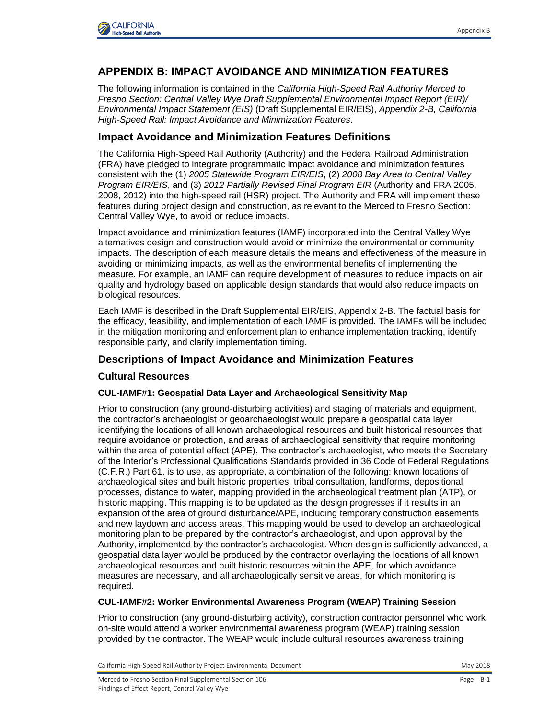

# **APPENDIX B: IMPACT AVOIDANCE AND MINIMIZATION FEATURES**

The following information is contained in the *California High-Speed Rail Authority Merced to Fresno Section: Central Valley Wye Draft Supplemental Environmental Impact Report (EIR)/ Environmental Impact Statement (EIS)* (Draft Supplemental EIR/EIS), *Appendix 2-B, California High-Speed Rail: Impact Avoidance and Minimization Features*.

# **Impact Avoidance and Minimization Features Definitions**

The California High-Speed Rail Authority (Authority) and the Federal Railroad Administration (FRA) have pledged to integrate programmatic impact avoidance and minimization features consistent with the (1) *2005 Statewide Program EIR/EIS*, (2) *2008 Bay Area to Central Valley Program EIR/EIS*, and (3) *2012 Partially Revised Final Program EIR* (Authority and FRA 2005, 2008, 2012) into the high-speed rail (HSR) project. The Authority and FRA will implement these features during project design and construction, as relevant to the Merced to Fresno Section: Central Valley Wye, to avoid or reduce impacts.

Impact avoidance and minimization features (IAMF) incorporated into the Central Valley Wye alternatives design and construction would avoid or minimize the environmental or community impacts. The description of each measure details the means and effectiveness of the measure in avoiding or minimizing impacts, as well as the environmental benefits of implementing the measure. For example, an IAMF can require development of measures to reduce impacts on air quality and hydrology based on applicable design standards that would also reduce impacts on biological resources.

Each IAMF is described in the Draft Supplemental EIR/EIS, Appendix 2-B. The factual basis for the efficacy, feasibility, and implementation of each IAMF is provided. The IAMFs will be included in the mitigation monitoring and enforcement plan to enhance implementation tracking, identify responsible party, and clarify implementation timing.

## **Descriptions of Impact Avoidance and Minimization Features**

## **Cultural Resources**

#### **CUL-IAMF#1: Geospatial Data Layer and Archaeological Sensitivity Map**

Prior to construction (any ground-disturbing activities) and staging of materials and equipment, the contractor's archaeologist or geoarchaeologist would prepare a geospatial data layer identifying the locations of all known archaeological resources and built historical resources that require avoidance or protection, and areas of archaeological sensitivity that require monitoring within the area of potential effect (APE). The contractor's archaeologist, who meets the Secretary of the Interior's Professional Qualifications Standards provided in 36 Code of Federal Regulations (C.F.R.) Part 61, is to use, as appropriate, a combination of the following: known locations of archaeological sites and built historic properties, tribal consultation, landforms, depositional processes, distance to water, mapping provided in the archaeological treatment plan (ATP), or historic mapping. This mapping is to be updated as the design progresses if it results in an expansion of the area of ground disturbance/APE, including temporary construction easements and new laydown and access areas. This mapping would be used to develop an archaeological monitoring plan to be prepared by the contractor's archaeologist, and upon approval by the Authority, implemented by the contractor's archaeologist. When design is sufficiently advanced, a geospatial data layer would be produced by the contractor overlaying the locations of all known archaeological resources and built historic resources within the APE, for which avoidance measures are necessary, and all archaeologically sensitive areas, for which monitoring is required.

#### **CUL-IAMF#2: Worker Environmental Awareness Program (WEAP) Training Session**

Prior to construction (any ground-disturbing activity), construction contractor personnel who work on-site would attend a worker environmental awareness program (WEAP) training session provided by the contractor. The WEAP would include cultural resources awareness training

California High-Speed Rail Authority Project Environmental Document May 2018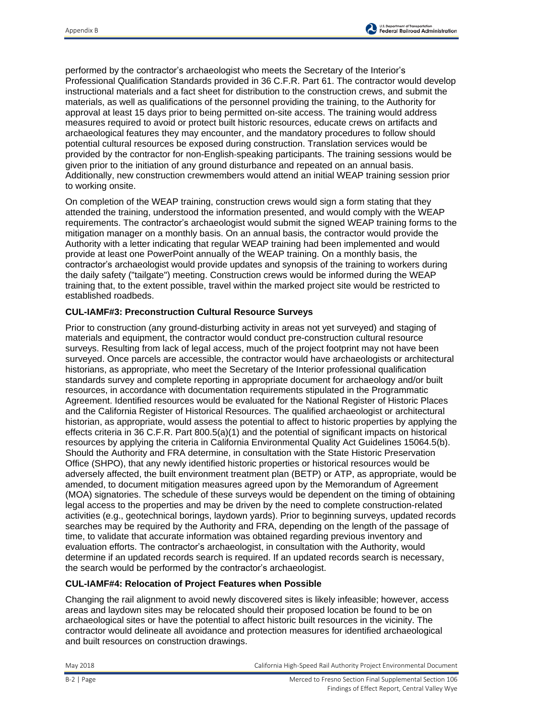

performed by the contractor's archaeologist who meets the Secretary of the Interior's Professional Qualification Standards provided in 36 C.F.R. Part 61. The contractor would develop instructional materials and a fact sheet for distribution to the construction crews, and submit the materials, as well as qualifications of the personnel providing the training, to the Authority for approval at least 15 days prior to being permitted on-site access. The training would address measures required to avoid or protect built historic resources, educate crews on artifacts and archaeological features they may encounter, and the mandatory procedures to follow should potential cultural resources be exposed during construction. Translation services would be provided by the contractor for non-English-speaking participants. The training sessions would be given prior to the initiation of any ground disturbance and repeated on an annual basis. Additionally, new construction crewmembers would attend an initial WEAP training session prior to working onsite.

On completion of the WEAP training, construction crews would sign a form stating that they attended the training, understood the information presented, and would comply with the WEAP requirements. The contractor's archaeologist would submit the signed WEAP training forms to the mitigation manager on a monthly basis. On an annual basis, the contractor would provide the Authority with a letter indicating that regular WEAP training had been implemented and would provide at least one PowerPoint annually of the WEAP training. On a monthly basis, the contractor's archaeologist would provide updates and synopsis of the training to workers during the daily safety ("tailgate") meeting. Construction crews would be informed during the WEAP training that, to the extent possible, travel within the marked project site would be restricted to established roadbeds.

## **CUL-IAMF#3: Preconstruction Cultural Resource Surveys**

Prior to construction (any ground-disturbing activity in areas not yet surveyed) and staging of materials and equipment, the contractor would conduct pre-construction cultural resource surveys. Resulting from lack of legal access, much of the project footprint may not have been surveyed. Once parcels are accessible, the contractor would have archaeologists or architectural historians, as appropriate, who meet the Secretary of the Interior professional qualification standards survey and complete reporting in appropriate document for archaeology and/or built resources, in accordance with documentation requirements stipulated in the Programmatic Agreement. Identified resources would be evaluated for the National Register of Historic Places and the California Register of Historical Resources. The qualified archaeologist or architectural historian, as appropriate, would assess the potential to affect to historic properties by applying the effects criteria in 36 C.F.R. Part 800.5(a)(1) and the potential of significant impacts on historical resources by applying the criteria in California Environmental Quality Act Guidelines 15064.5(b). Should the Authority and FRA determine, in consultation with the State Historic Preservation Office (SHPO), that any newly identified historic properties or historical resources would be adversely affected, the built environment treatment plan (BETP) or ATP, as appropriate, would be amended, to document mitigation measures agreed upon by the Memorandum of Agreement (MOA) signatories. The schedule of these surveys would be dependent on the timing of obtaining legal access to the properties and may be driven by the need to complete construction-related activities (e.g., geotechnical borings, laydown yards). Prior to beginning surveys, updated records searches may be required by the Authority and FRA, depending on the length of the passage of time, to validate that accurate information was obtained regarding previous inventory and evaluation efforts. The contractor's archaeologist, in consultation with the Authority, would determine if an updated records search is required. If an updated records search is necessary, the search would be performed by the contractor's archaeologist.

#### **CUL-IAMF#4: Relocation of Project Features when Possible**

Changing the rail alignment to avoid newly discovered sites is likely infeasible; however, access areas and laydown sites may be relocated should their proposed location be found to be on archaeological sites or have the potential to affect historic built resources in the vicinity. The contractor would delineate all avoidance and protection measures for identified archaeological and built resources on construction drawings.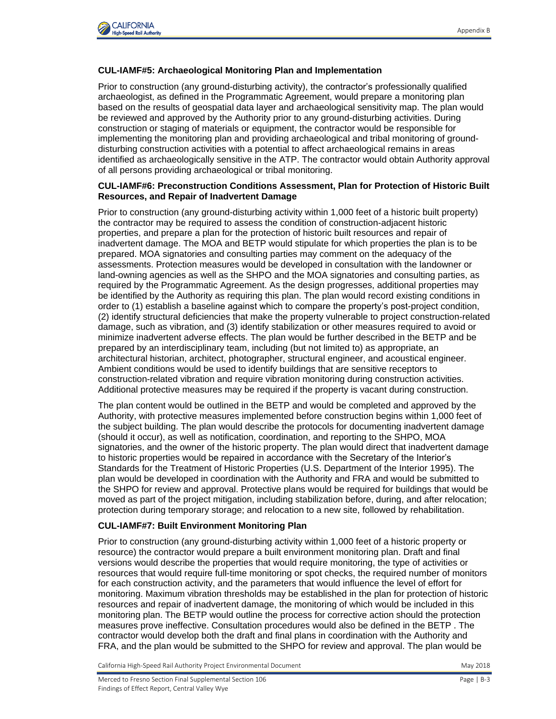

#### **CUL-IAMF#5: Archaeological Monitoring Plan and Implementation**

Prior to construction (any ground-disturbing activity), the contractor's professionally qualified archaeologist, as defined in the Programmatic Agreement, would prepare a monitoring plan based on the results of geospatial data layer and archaeological sensitivity map. The plan would be reviewed and approved by the Authority prior to any ground-disturbing activities. During construction or staging of materials or equipment, the contractor would be responsible for implementing the monitoring plan and providing archaeological and tribal monitoring of grounddisturbing construction activities with a potential to affect archaeological remains in areas identified as archaeologically sensitive in the ATP. The contractor would obtain Authority approval of all persons providing archaeological or tribal monitoring.

#### **CUL-IAMF#6: Preconstruction Conditions Assessment, Plan for Protection of Historic Built Resources, and Repair of Inadvertent Damage**

Prior to construction (any ground-disturbing activity within 1,000 feet of a historic built property) the contractor may be required to assess the condition of construction-adjacent historic properties, and prepare a plan for the protection of historic built resources and repair of inadvertent damage. The MOA and BETP would stipulate for which properties the plan is to be prepared. MOA signatories and consulting parties may comment on the adequacy of the assessments. Protection measures would be developed in consultation with the landowner or land-owning agencies as well as the SHPO and the MOA signatories and consulting parties, as required by the Programmatic Agreement. As the design progresses, additional properties may be identified by the Authority as requiring this plan. The plan would record existing conditions in order to (1) establish a baseline against which to compare the property's post-project condition, (2) identify structural deficiencies that make the property vulnerable to project construction-related damage, such as vibration, and (3) identify stabilization or other measures required to avoid or minimize inadvertent adverse effects. The plan would be further described in the BETP and be prepared by an interdisciplinary team, including (but not limited to) as appropriate, an architectural historian, architect, photographer, structural engineer, and acoustical engineer. Ambient conditions would be used to identify buildings that are sensitive receptors to construction-related vibration and require vibration monitoring during construction activities. Additional protective measures may be required if the property is vacant during construction.

The plan content would be outlined in the BETP and would be completed and approved by the Authority, with protective measures implemented before construction begins within 1,000 feet of the subject building. The plan would describe the protocols for documenting inadvertent damage (should it occur), as well as notification, coordination, and reporting to the SHPO, MOA signatories, and the owner of the historic property. The plan would direct that inadvertent damage to historic properties would be repaired in accordance with the Secretary of the Interior's Standards for the Treatment of Historic Properties (U.S. Department of the Interior 1995). The plan would be developed in coordination with the Authority and FRA and would be submitted to the SHPO for review and approval. Protective plans would be required for buildings that would be moved as part of the project mitigation, including stabilization before, during, and after relocation; protection during temporary storage; and relocation to a new site, followed by rehabilitation.

#### **CUL-IAMF#7: Built Environment Monitoring Plan**

Prior to construction (any ground-disturbing activity within 1,000 feet of a historic property or resource) the contractor would prepare a built environment monitoring plan. Draft and final versions would describe the properties that would require monitoring, the type of activities or resources that would require full-time monitoring or spot checks, the required number of monitors for each construction activity, and the parameters that would influence the level of effort for monitoring. Maximum vibration thresholds may be established in the plan for protection of historic resources and repair of inadvertent damage, the monitoring of which would be included in this monitoring plan. The BETP would outline the process for corrective action should the protection measures prove ineffective. Consultation procedures would also be defined in the BETP . The contractor would develop both the draft and final plans in coordination with the Authority and FRA, and the plan would be submitted to the SHPO for review and approval. The plan would be

California High-Speed Rail Authority Project Environmental Document May 2018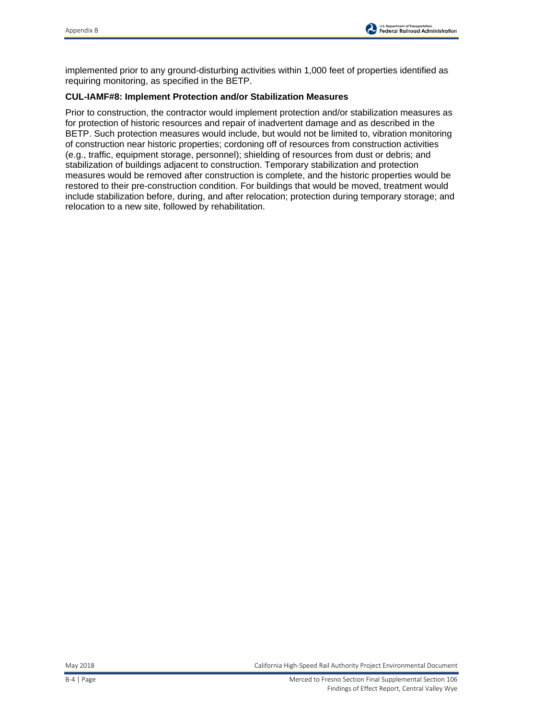

implemented prior to any ground-disturbing activities within 1,000 feet of properties identified as requiring monitoring, as specified in the BETP.

## **CUL-IAMF#8: Implement Protection and/or Stabilization Measures**

Prior to construction, the contractor would implement protection and/or stabilization measures as for protection of historic resources and repair of inadvertent damage and as described in the BETP. Such protection measures would include, but would not be limited to, vibration monitoring of construction near historic properties; cordoning off of resources from construction activities (e.g., traffic, equipment storage, personnel); shielding of resources from dust or debris; and stabilization of buildings adjacent to construction. Temporary stabilization and protection measures would be removed after construction is complete, and the historic properties would be restored to their pre-construction condition. For buildings that would be moved, treatment would include stabilization before, during, and after relocation; protection during temporary storage; and relocation to a new site, followed by rehabilitation.

May 2018 California High-Speed Rail Authority Project Environmental Document